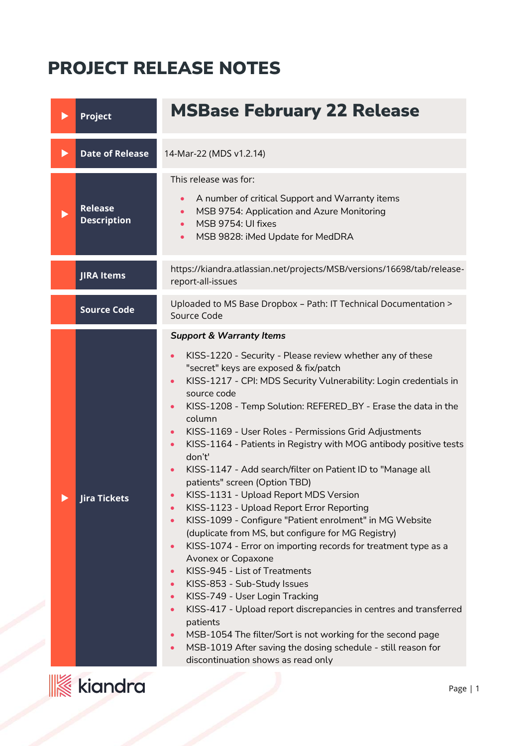# PROJECT RELEASE NOTES

| Project                              | <b>MSBase February 22 Release</b>                                                                                                                                                                                                                                                                                                                                                                                                                                                                                                                                                                                                                                                                                                                                                                                                                                                                                                                                                                                                                                                                                                                                                                                                                                                    |
|--------------------------------------|--------------------------------------------------------------------------------------------------------------------------------------------------------------------------------------------------------------------------------------------------------------------------------------------------------------------------------------------------------------------------------------------------------------------------------------------------------------------------------------------------------------------------------------------------------------------------------------------------------------------------------------------------------------------------------------------------------------------------------------------------------------------------------------------------------------------------------------------------------------------------------------------------------------------------------------------------------------------------------------------------------------------------------------------------------------------------------------------------------------------------------------------------------------------------------------------------------------------------------------------------------------------------------------|
| <b>Date of Release</b>               | 14-Mar-22 (MDS v1.2.14)                                                                                                                                                                                                                                                                                                                                                                                                                                                                                                                                                                                                                                                                                                                                                                                                                                                                                                                                                                                                                                                                                                                                                                                                                                                              |
| <b>Release</b><br><b>Description</b> | This release was for:<br>A number of critical Support and Warranty items<br>$\bullet$<br>MSB 9754: Application and Azure Monitoring<br>MSB 9754: UI fixes<br>$\bullet$<br>MSB 9828: iMed Update for MedDRA<br>$\bullet$                                                                                                                                                                                                                                                                                                                                                                                                                                                                                                                                                                                                                                                                                                                                                                                                                                                                                                                                                                                                                                                              |
| <b>JIRA Items</b>                    | https://kiandra.atlassian.net/projects/MSB/versions/16698/tab/release-<br>report-all-issues                                                                                                                                                                                                                                                                                                                                                                                                                                                                                                                                                                                                                                                                                                                                                                                                                                                                                                                                                                                                                                                                                                                                                                                          |
| <b>Source Code</b>                   | Uploaded to MS Base Dropbox - Path: IT Technical Documentation ><br>Source Code                                                                                                                                                                                                                                                                                                                                                                                                                                                                                                                                                                                                                                                                                                                                                                                                                                                                                                                                                                                                                                                                                                                                                                                                      |
| <b>Jira Tickets</b>                  | <b>Support &amp; Warranty Items</b><br>KISS-1220 - Security - Please review whether any of these<br>"secret" keys are exposed & fix/patch<br>KISS-1217 - CPI: MDS Security Vulnerability: Login credentials in<br>source code<br>KISS-1208 - Temp Solution: REFERED_BY - Erase the data in the<br>$\bullet$<br>column<br>KISS-1169 - User Roles - Permissions Grid Adjustments<br>KISS-1164 - Patients in Registry with MOG antibody positive tests<br>$\bullet$<br>don't'<br>KISS-1147 - Add search/filter on Patient ID to "Manage all<br>patients" screen (Option TBD)<br>KISS-1131 - Upload Report MDS Version<br>KISS-1123 - Upload Report Error Reporting<br>KISS-1099 - Configure "Patient enrolment" in MG Website<br>(duplicate from MS, but configure for MG Registry)<br>KISS-1074 - Error on importing records for treatment type as a<br>Avonex or Copaxone<br>KISS-945 - List of Treatments<br>$\bullet$<br>KISS-853 - Sub-Study Issues<br>$\bullet$<br>KISS-749 - User Login Tracking<br>$\bullet$<br>KISS-417 - Upload report discrepancies in centres and transferred<br>$\bullet$<br>patients<br>MSB-1054 The filter/Sort is not working for the second page<br>MSB-1019 After saving the dosing schedule - still reason for<br>discontinuation shows as read only |

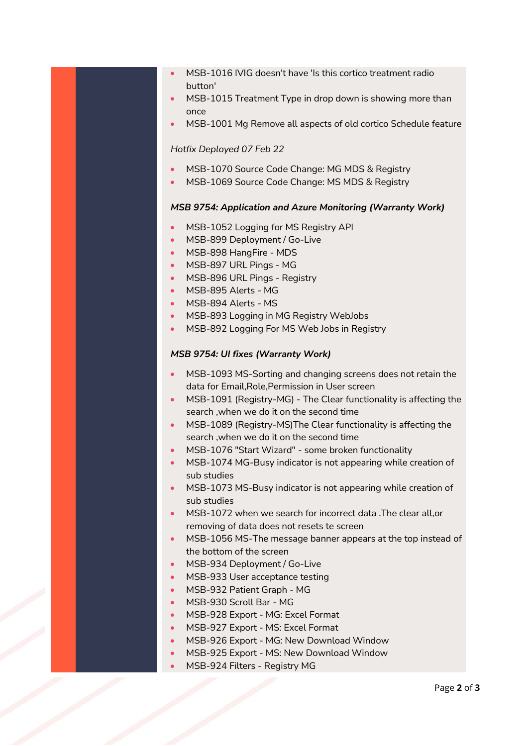- MSB-1016 IVIG doesn't have 'Is this cortico treatment radio button'
- MSB-1015 Treatment Type in drop down is showing more than once
- MSB-1001 Mg Remove all aspects of old cortico Schedule feature

## *Hotfix Deployed 07 Feb 22*

- MSB-1070 Source Code Change: MG MDS & Registry
- MSB-1069 Source Code Change: MS MDS & Registry

#### *MSB 9754: Application and Azure Monitoring (Warranty Work)*

- MSB-1052 Logging for MS Registry API
- MSB-899 Deployment / Go-Live
- MSB-898 HangFire MDS
- MSB-897 URL Pings MG
- MSB-896 URL Pings Registry
- MSB-895 Alerts MG
- MSB-894 Alerts MS
- MSB-893 Logging in MG Registry WebJobs
- MSB-892 Logging For MS Web Jobs in Registry

### *MSB 9754: UI fixes (Warranty Work)*

- MSB-1093 MS-Sorting and changing screens does not retain the data for Email,Role,Permission in User screen
- MSB-1091 (Registry-MG) The Clear functionality is affecting the search ,when we do it on the second time
- MSB-1089 (Registry-MS)The Clear functionality is affecting the search ,when we do it on the second time
- MSB-1076 "Start Wizard" some broken functionality
- MSB-1074 MG-Busy indicator is not appearing while creation of sub studies
- MSB-1073 MS-Busy indicator is not appearing while creation of sub studies
- MSB-1072 when we search for incorrect data .The clear all,or removing of data does not resets te screen
- MSB-1056 MS-The message banner appears at the top instead of the bottom of the screen
- MSB-934 Deployment / Go-Live
- MSB-933 User acceptance testing
- MSB-932 Patient Graph MG
- MSB-930 Scroll Bar MG
- MSB-928 Export MG: Excel Format
- MSB-927 Export MS: Excel Format
- MSB-926 Export MG: New Download Window
- MSB-925 Export MS: New Download Window
- MSB-924 Filters Registry MG